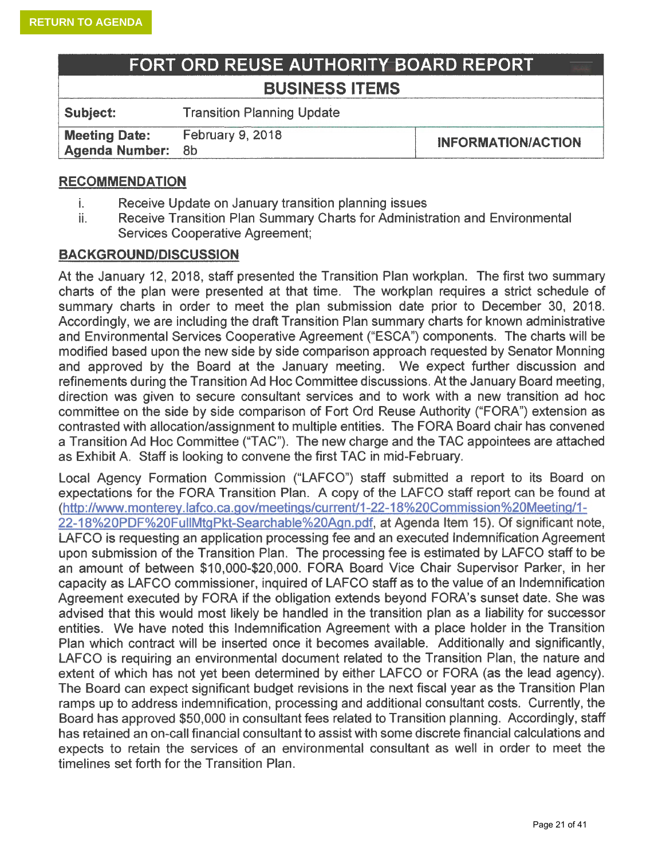| FORT ORD REUSE AUTHORITY BOARD REPORT |                                   |  |  |  |  |  |  |
|---------------------------------------|-----------------------------------|--|--|--|--|--|--|
|                                       | <b>BUSINESS ITEMS</b>             |  |  |  |  |  |  |
| Subject:                              | <b>Transition Planning Update</b> |  |  |  |  |  |  |

**Meeting Date:** February 9, 2018 **INFORMATION/ACTION Agenda Number:** Sb

# **RECOMMENDATION**

- i. Receive Update on January transition planning issues
- ii. Receive Transition Plan Summary Charts for Administration and Environmental Services Cooperative Agreement;

# **BACKGROUND/DISCUSSION**

At the January 12, 2018, staff presented the Transition Plan workplan. The first two summary charts of the plan were presented at that time. The workplan requires a strict schedule of summary charts in order to meet the plan submission date prior to December 30, 2018. Accordingly, we are including the draft Transition Plan summary charts for known administrative and Environmental Services Cooperative Agreement ("ESCA") components. The charts will be modified based upon the new side by side comparison approach requested by Senator Manning and approved by the Board at the January meeting. We expect further discussion and refinements during the Transition Ad Hoc Committee discussions. At the January Board meeting, direction was given to secure consultant services and to work with a new transition ad hoc committee on the side by side comparison of Fort Ord Reuse Authority ("FORA") extension as contrasted with allocation/assignment to multiple entities. The FORA Board chair has convened a Transition Ad Hoc Committee ("TAC"). The new charge and the TAC appointees are attached as Exhibit A. Staff is looking to convene the first TAC in mid-February.

Local Agency Formation Commission ("LAFCO") staff submitted a report to its Board on expectations for the FORA Transition Plan. A copy of the LAFCO staff report can be found at (http://www.monterey. lafco. ca.gov/meetings/current/1-22-18%20Commission%20Meeting/1- 22-18%20PDF%20FullMtgPkt-Searchable%20Agn .pdf, at Agenda Item 15). Of significant note, LAFCO is requesting an application processing fee and an executed Indemnification Agreement upon submission of the Transition Plan. The processing fee is estimated by LAFCO staff to be an amount of between \$10,000-\$20,000. FORA Board Vice Chair Supervisor Parker, in her capacity as LAFCO commissioner, inquired of LAFCO staff as to the value of an Indemnification Agreement executed by FORA if the obligation extends beyond FORA's sunset date. She was advised that this would most likely be handled in the transition plan as a liability for successor entities. We have noted this Indemnification Agreement with a place holder in the Transition Plan which contract will be inserted once it becomes available. Additionally and significantly, LAFCO is requiring an environmental document related to the Transition Plan, the nature and extent of which has not yet been determined by either LAFCO or FORA (as the lead agency). The Board can expect significant budget revisions in the next fiscal year as the Transition Plan ramps up to address indemnification, processing and additional consultant costs. Currently, the Board has approved \$50,000 in consultant fees related to Transition planning. Accordingly, staff has retained an on-call financial consultant to assist with some discrete financial calculations and expects to retain the services of an environmental consultant as well in order to meet the timelines set forth for the Transition Plan.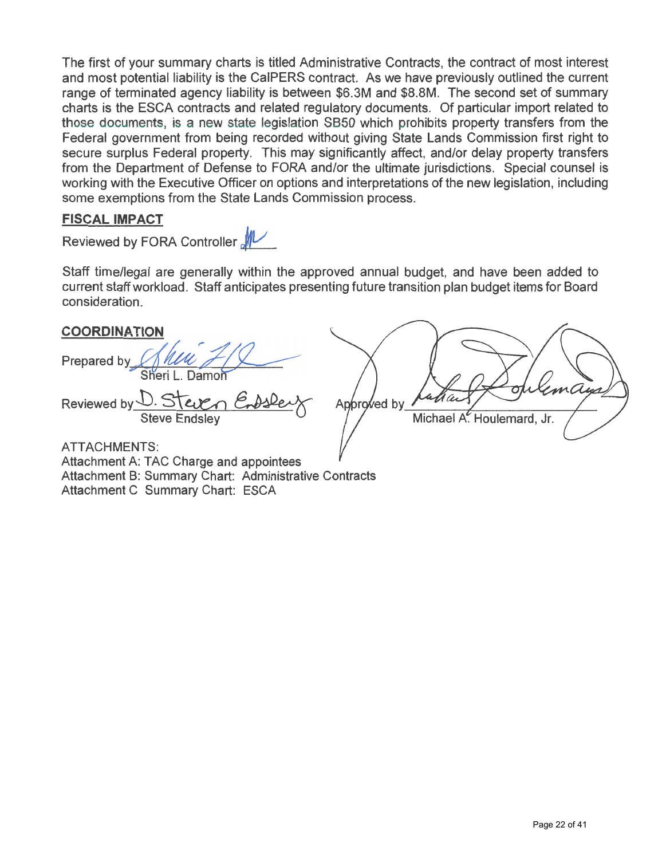The first of your summary charts is titled Administrative Contracts, the contract of most interest and most potential liability is the CalPERS contract. As we have previously outlined the current range of terminated agency liability is between \$6.3M and \$8.SM. The second set of summary charts is the ESCA contracts and related regulatory documents. Of particular import related to those documents, is a new state legislation SB50 which prohibits property transfers from the Federal government from being recorded without giving State Lands Commission first right to secure surplus Federal property. This may significantly affect, and/or delay property transfers from the Department of Defense to FORA and/or the ultimate jurisdictions. Special counsel is working with the Executive Officer on options and interpretations of the new legislation, including some exemptions from the State Lands Commission process.

# **FISCAL IMPACT**

Reviewed by FORA Controller  $\rlap{\hbox{\rm M}}\vphantom{\hbox{\rm M}}$ 

Staff time/legal are generally within the approved annual budget, and have been added to current staff workload. Staff anticipates presenting future transition plan budget items for Board consideration.

# **COORDINATION**

**Prepared by.** Sheri L. Damoi

Reviewed by D. Steven Steve Endsley

Endshey Approved Michael A. Houlemard, Jr.

ATTACHMENTS: Attachment A: TAC Charge and appointees Attachment B: Summary Chart: Administrative Contracts Attachment C Summary Chart: ESCA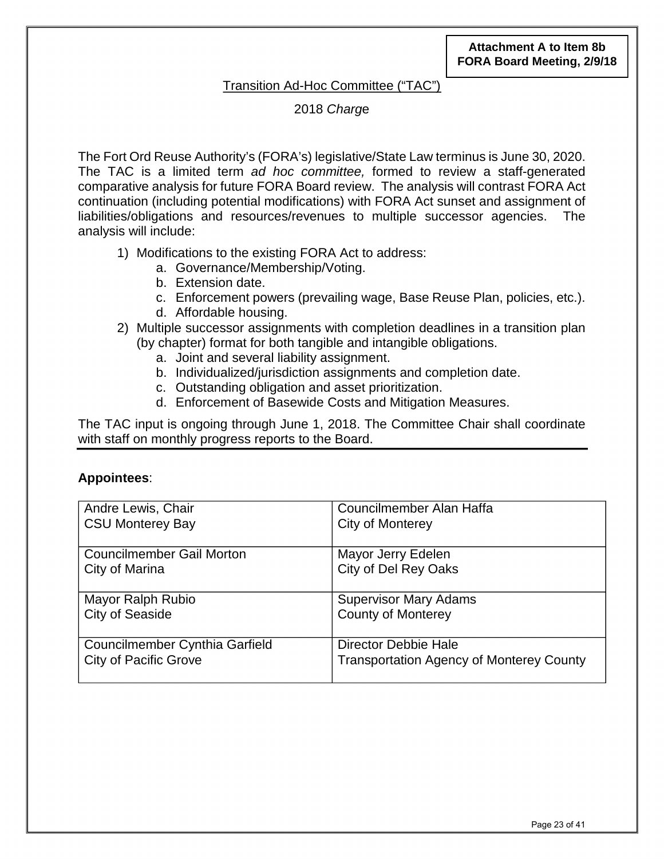# Transition Ad-Hoc Committee ("TAC")

2018 *Charg*e

The Fort Ord Reuse Authority's (FORA's) legislative/State Law terminus is June 30, 2020. The TAC is a limited term *ad hoc committee,* formed to review a staff-generated comparative analysis for future FORA Board review. The analysis will contrast FORA Act continuation (including potential modifications) with FORA Act sunset and assignment of liabilities/obligations and resources/revenues to multiple successor agencies. The analysis will include:

- 1) Modifications to the existing FORA Act to address:
	- a. Governance/Membership/Voting.
	- b. Extension date.
	- c. Enforcement powers (prevailing wage, Base Reuse Plan, policies, etc.).
	- d. Affordable housing.
- 2) Multiple successor assignments with completion deadlines in a transition plan (by chapter) format for both tangible and intangible obligations.
	- a. Joint and several liability assignment.
	- b. Individualized/jurisdiction assignments and completion date.
	- c. Outstanding obligation and asset prioritization.
	- d. Enforcement of Basewide Costs and Mitigation Measures.

The TAC input is ongoing through June 1, 2018. The Committee Chair shall coordinate with staff on monthly progress reports to the Board.

# **Appointees**:

| Andre Lewis, Chair                    | Councilmember Alan Haffa                        |  |  |  |  |
|---------------------------------------|-------------------------------------------------|--|--|--|--|
| <b>CSU Monterey Bay</b>               | City of Monterey                                |  |  |  |  |
|                                       |                                                 |  |  |  |  |
| <b>Councilmember Gail Morton</b>      | Mayor Jerry Edelen                              |  |  |  |  |
| City of Marina                        | City of Del Rey Oaks                            |  |  |  |  |
|                                       |                                                 |  |  |  |  |
| Mayor Ralph Rubio                     | <b>Supervisor Mary Adams</b>                    |  |  |  |  |
| <b>City of Seaside</b>                | <b>County of Monterey</b>                       |  |  |  |  |
|                                       |                                                 |  |  |  |  |
| <b>Councilmember Cynthia Garfield</b> | Director Debbie Hale                            |  |  |  |  |
| <b>City of Pacific Grove</b>          | <b>Transportation Agency of Monterey County</b> |  |  |  |  |
|                                       |                                                 |  |  |  |  |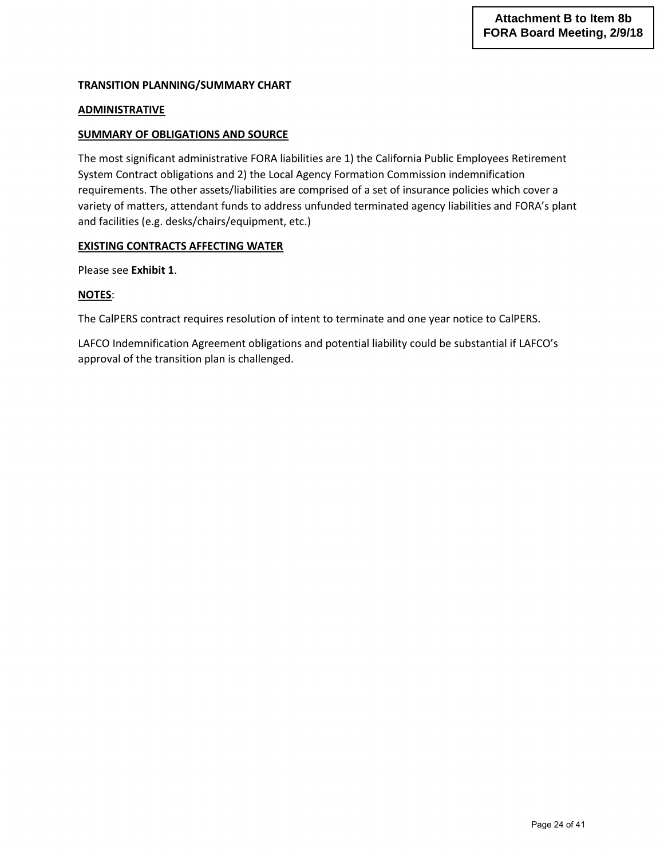#### **TRANSITION PLANNING/SUMMARY CHART**

#### **ADMINISTRATIVE**

#### **SUMMARY OF OBLIGATIONS AND SOURCE**

The most significant administrative FORA liabilities are 1) the California Public Employees Retirement System Contract obligations and 2) the Local Agency Formation Commission indemnification requirements. The other assets/liabilities are comprised of a set of insurance policies which cover a variety of matters, attendant funds to address unfunded terminated agency liabilities and FORA's plant and facilities (e.g. desks/chairs/equipment, etc.)

#### **EXISTING CONTRACTS AFFECTING WATER**

Please see **Exhibit 1**.

#### **NOTES**:

The CalPERS contract requires resolution of intent to terminate and one year notice to CalPERS.

LAFCO Indemnification Agreement obligations and potential liability could be substantial if LAFCO's approval of the transition plan is challenged.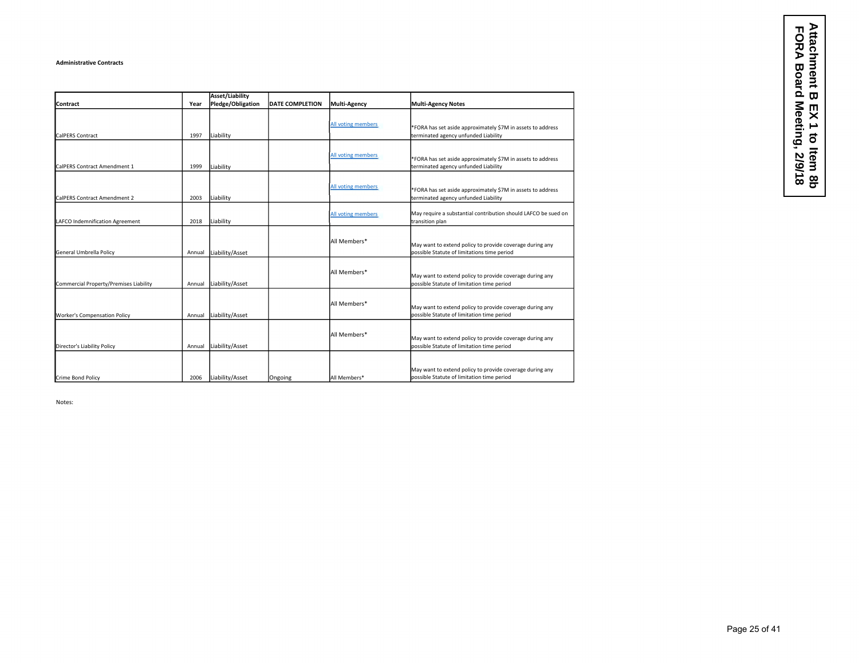#### **Administrative Contracts**

|                                        |        | <b>Asset/Liability</b> |                        |                     |                                                                                                         |
|----------------------------------------|--------|------------------------|------------------------|---------------------|---------------------------------------------------------------------------------------------------------|
| Contract                               | Year   | Pledge/Obligation      | <b>DATE COMPLETION</b> | <b>Multi-Agency</b> | <b>Multi-Agency Notes</b>                                                                               |
| CalPERS Contract                       | 1997   | Liability              |                        | All voting members  | *FORA has set aside approximately \$7M in assets to address<br>terminated agency unfunded Liability     |
| CalPERS Contract Amendment 1           | 1999   | Liability              |                        | All voting members  | *FORA has set aside approximately \$7M in assets to address<br>terminated agency unfunded Liability     |
| CalPERS Contract Amendment 2           | 2003   | Liability              |                        | All voting members  | *FORA has set aside approximately \$7M in assets to address<br>terminated agency unfunded Liability     |
| LAFCO Indemnification Agreement        | 2018   | Liability              |                        | All voting members  | May require a substantial contribution should LAFCO be sued on<br>transition plan                       |
| General Umbrella Policy                | Annual | Liability/Asset        |                        | All Members*        | May want to extend policy to provide coverage during any<br>possible Statute of limitations time period |
| Commercial Property/Premises Liability | Annual | Liability/Asset        |                        | All Members*        | May want to extend policy to provide coverage during any<br>possible Statute of limitation time period  |
| <b>Worker's Compensation Policy</b>    | Annual | Liability/Asset        |                        | All Members*        | May want to extend policy to provide coverage during any<br>possible Statute of limitation time period  |
| Director's Liability Policy            | Annual | Liability/Asset        |                        | All Members*        | May want to extend policy to provide coverage during any<br>possible Statute of limitation time period  |
| Crime Bond Policy                      | 2006   | Liability/Asset        | Ongoing                | All Members*        | May want to extend policy to provide coverage during any<br>possible Statute of limitation time period  |

Notes: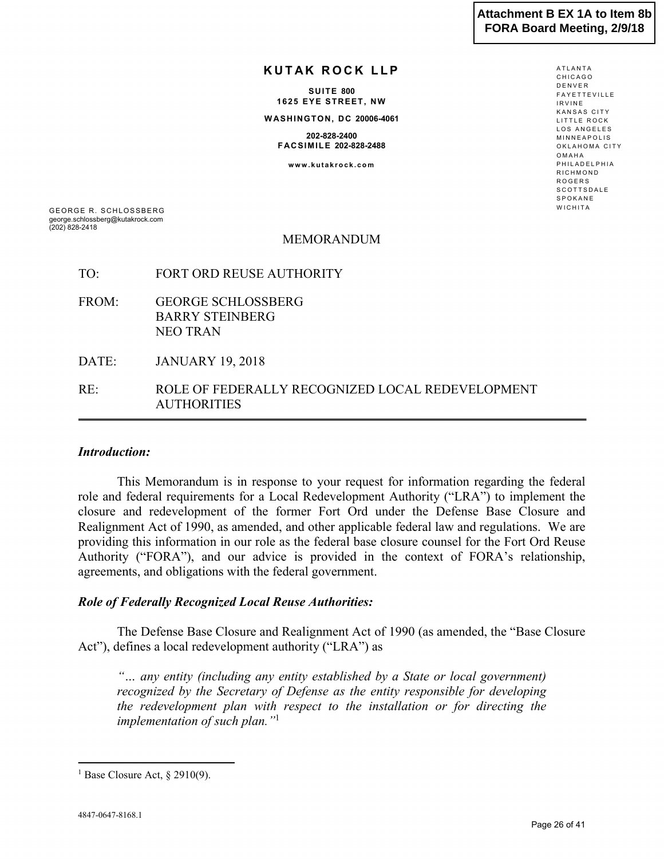ATLANTA

## **KUTAK ROCK LLP**

**SUITE 800 1625 EYE STREET, NW W ASHINGTON, DC 20006-4061**

**202-828-2400 FACSIMILE 202-828-2488**

**www.kutakrock.com**

CHICAGO DENVER FAYETTEVILLE IRVINE KANSAS CITY LITTLE ROCK LOS ANGELES MINNEAPOLIS OKLAHOMA CITY OMAHA PHILADELPHIA RICHMOND ROGERS **SCOTTSDALE** SPOKANE **WICHITA** 

GEORGE R. SCHLOSSBERG george.schlossberg@kutakrock.com (202) 828-2418

#### MEMORANDUM

- TO: FORT ORD REUSE AUTHORITY
- FROM: GEORGE SCHLOSSBERG BARRY STEINBERG NEO TRAN

DATE: JANUARY 19, 2018

RE: ROLE OF FEDERALLY RECOGNIZED LOCAL REDEVELOPMENT AUTHORITIES

#### *Introduction:*

This Memorandum is in response to your request for information regarding the federal role and federal requirements for a Local Redevelopment Authority ("LRA") to implement the closure and redevelopment of the former Fort Ord under the Defense Base Closure and Realignment Act of 1990, as amended, and other applicable federal law and regulations. We are providing this information in our role as the federal base closure counsel for the Fort Ord Reuse Authority ("FORA"), and our advice is provided in the context of FORA's relationship, agreements, and obligations with the federal government.

#### *Role of Federally Recognized Local Reuse Authorities:*

The Defense Base Closure and Realignment Act of 1990 (as amended, the "Base Closure Act"), defines a local redevelopment authority ("LRA") as

*"… any entity (including any entity established by a State or local government) recognized by the Secretary of Defense as the entity responsible for developing the redevelopment plan with respect to the installation or for directing the implementation of such plan."*<sup>1</sup>

 $\overline{a}$ 

<sup>&</sup>lt;sup>1</sup> Base Closure Act, § 2910(9).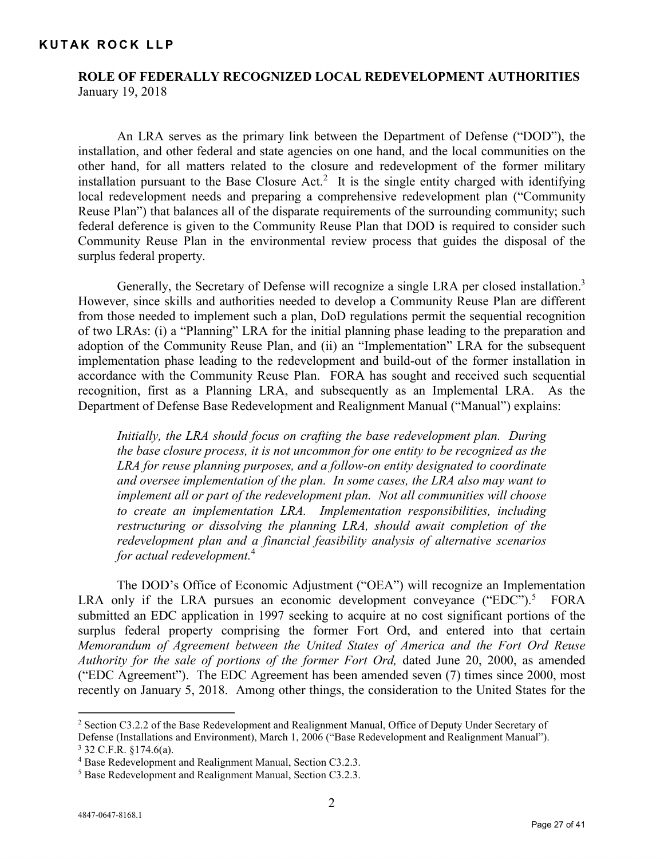# **ROLE OF FEDERALLY RECOGNIZED LOCAL REDEVELOPMENT AUTHORITIES** January 19, 2018

An LRA serves as the primary link between the Department of Defense ("DOD"), the installation, and other federal and state agencies on one hand, and the local communities on the other hand, for all matters related to the closure and redevelopment of the former military installation pursuant to the Base Closure  $Act<sup>2</sup>$ . It is the single entity charged with identifying local redevelopment needs and preparing a comprehensive redevelopment plan ("Community Reuse Plan") that balances all of the disparate requirements of the surrounding community; such federal deference is given to the Community Reuse Plan that DOD is required to consider such Community Reuse Plan in the environmental review process that guides the disposal of the surplus federal property.

Generally, the Secretary of Defense will recognize a single LRA per closed installation.<sup>3</sup> However, since skills and authorities needed to develop a Community Reuse Plan are different from those needed to implement such a plan, DoD regulations permit the sequential recognition of two LRAs: (i) a "Planning" LRA for the initial planning phase leading to the preparation and adoption of the Community Reuse Plan, and (ii) an "Implementation" LRA for the subsequent implementation phase leading to the redevelopment and build-out of the former installation in accordance with the Community Reuse Plan. FORA has sought and received such sequential recognition, first as a Planning LRA, and subsequently as an Implemental LRA. As the Department of Defense Base Redevelopment and Realignment Manual ("Manual") explains:

*Initially, the LRA should focus on crafting the base redevelopment plan. During the base closure process, it is not uncommon for one entity to be recognized as the LRA for reuse planning purposes, and a follow-on entity designated to coordinate and oversee implementation of the plan. In some cases, the LRA also may want to implement all or part of the redevelopment plan. Not all communities will choose to create an implementation LRA. Implementation responsibilities, including restructuring or dissolving the planning LRA, should await completion of the redevelopment plan and a financial feasibility analysis of alternative scenarios for actual redevelopment.*<sup>4</sup>

The DOD's Office of Economic Adjustment ("OEA") will recognize an Implementation LRA only if the LRA pursues an economic development conveyance ("EDC").<sup>5</sup> FORA submitted an EDC application in 1997 seeking to acquire at no cost significant portions of the surplus federal property comprising the former Fort Ord, and entered into that certain *Memorandum of Agreement between the United States of America and the Fort Ord Reuse Authority for the sale of portions of the former Fort Ord,* dated June 20, 2000, as amended ("EDC Agreement"). The EDC Agreement has been amended seven (7) times since 2000, most recently on January 5, 2018. Among other things, the consideration to the United States for the

 $\overline{a}$ 

<sup>2</sup> Section C3.2.2 of the Base Redevelopment and Realignment Manual, Office of Deputy Under Secretary of Defense (Installations and Environment), March 1, 2006 ("Base Redevelopment and Realignment Manual"). <sup>3</sup> 32 C.F.R. §174.6(a).

<sup>4</sup> Base Redevelopment and Realignment Manual, Section C3.2.3.

<sup>5</sup> Base Redevelopment and Realignment Manual, Section C3.2.3.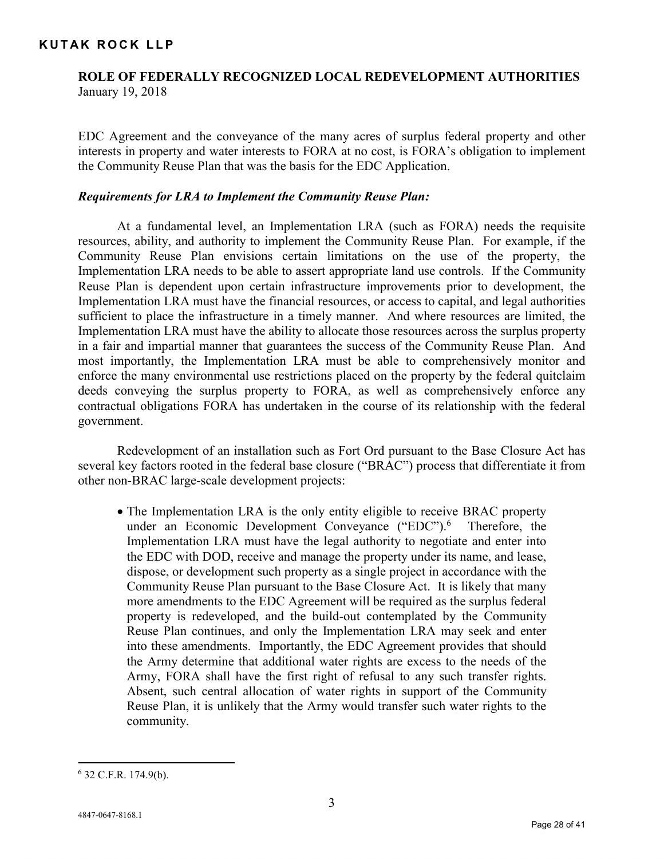# **ROLE OF FEDERALLY RECOGNIZED LOCAL REDEVELOPMENT AUTHORITIES** January 19, 2018

EDC Agreement and the conveyance of the many acres of surplus federal property and other interests in property and water interests to FORA at no cost, is FORA's obligation to implement the Community Reuse Plan that was the basis for the EDC Application.

## *Requirements for LRA to Implement the Community Reuse Plan:*

At a fundamental level, an Implementation LRA (such as FORA) needs the requisite resources, ability, and authority to implement the Community Reuse Plan. For example, if the Community Reuse Plan envisions certain limitations on the use of the property, the Implementation LRA needs to be able to assert appropriate land use controls. If the Community Reuse Plan is dependent upon certain infrastructure improvements prior to development, the Implementation LRA must have the financial resources, or access to capital, and legal authorities sufficient to place the infrastructure in a timely manner. And where resources are limited, the Implementation LRA must have the ability to allocate those resources across the surplus property in a fair and impartial manner that guarantees the success of the Community Reuse Plan. And most importantly, the Implementation LRA must be able to comprehensively monitor and enforce the many environmental use restrictions placed on the property by the federal quitclaim deeds conveying the surplus property to FORA, as well as comprehensively enforce any contractual obligations FORA has undertaken in the course of its relationship with the federal government.

Redevelopment of an installation such as Fort Ord pursuant to the Base Closure Act has several key factors rooted in the federal base closure ("BRAC") process that differentiate it from other non-BRAC large-scale development projects:

• The Implementation LRA is the only entity eligible to receive BRAC property under an Economic Development Conveyance  $("EDC")$ .<sup>6</sup> Therefore, the Implementation LRA must have the legal authority to negotiate and enter into the EDC with DOD, receive and manage the property under its name, and lease, dispose, or development such property as a single project in accordance with the Community Reuse Plan pursuant to the Base Closure Act. It is likely that many more amendments to the EDC Agreement will be required as the surplus federal property is redeveloped, and the build-out contemplated by the Community Reuse Plan continues, and only the Implementation LRA may seek and enter into these amendments. Importantly, the EDC Agreement provides that should the Army determine that additional water rights are excess to the needs of the Army, FORA shall have the first right of refusal to any such transfer rights. Absent, such central allocation of water rights in support of the Community Reuse Plan, it is unlikely that the Army would transfer such water rights to the community.

 $\overline{a}$ 

<sup>6</sup> 32 C.F.R. 174.9(b).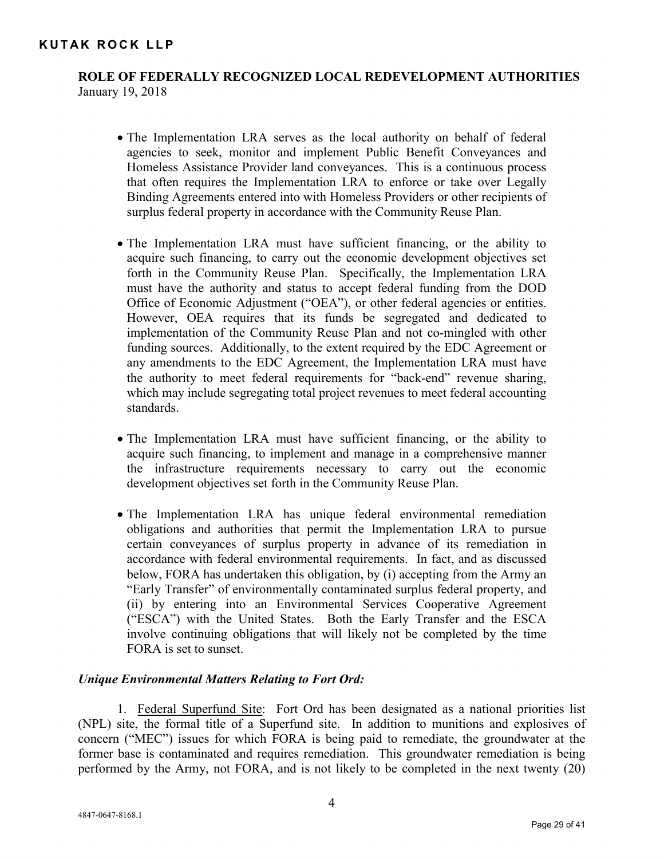# **ROLE OF FEDERALLY RECOGNIZED LOCAL REDEVELOPMENT AUTHORITIES** January 19, 2018

- The Implementation LRA serves as the local authority on behalf of federal agencies to seek, monitor and implement Public Benefit Conveyances and Homeless Assistance Provider land conveyances. This is a continuous process that often requires the Implementation LRA to enforce or take over Legally Binding Agreements entered into with Homeless Providers or other recipients of surplus federal property in accordance with the Community Reuse Plan.
- The Implementation LRA must have sufficient financing, or the ability to acquire such financing, to carry out the economic development objectives set forth in the Community Reuse Plan. Specifically, the Implementation LRA must have the authority and status to accept federal funding from the DOD Office of Economic Adjustment ("OEA"), or other federal agencies or entities. However, OEA requires that its funds be segregated and dedicated to implementation of the Community Reuse Plan and not co-mingled with other funding sources. Additionally, to the extent required by the EDC Agreement or any amendments to the EDC Agreement, the Implementation LRA must have the authority to meet federal requirements for "back-end" revenue sharing, which may include segregating total project revenues to meet federal accounting standards.
- The Implementation LRA must have sufficient financing, or the ability to acquire such financing, to implement and manage in a comprehensive manner the infrastructure requirements necessary to carry out the economic development objectives set forth in the Community Reuse Plan.
- The Implementation LRA has unique federal environmental remediation obligations and authorities that permit the Implementation LRA to pursue certain conveyances of surplus property in advance of its remediation in accordance with federal environmental requirements. In fact, and as discussed below, FORA has undertaken this obligation, by (i) accepting from the Army an "Early Transfer" of environmentally contaminated surplus federal property, and (ii) by entering into an Environmental Services Cooperative Agreement ("ESCA") with the United States. Both the Early Transfer and the ESCA involve continuing obligations that will likely not be completed by the time FORA is set to sunset.

# *Unique Environmental Matters Relating to Fort Ord:*

1. Federal Superfund Site: Fort Ord has been designated as a national priorities list (NPL) site, the formal title of a Superfund site. In addition to munitions and explosives of concern ("MEC") issues for which FORA is being paid to remediate, the groundwater at the former base is contaminated and requires remediation. This groundwater remediation is being performed by the Army, not FORA, and is not likely to be completed in the next twenty (20)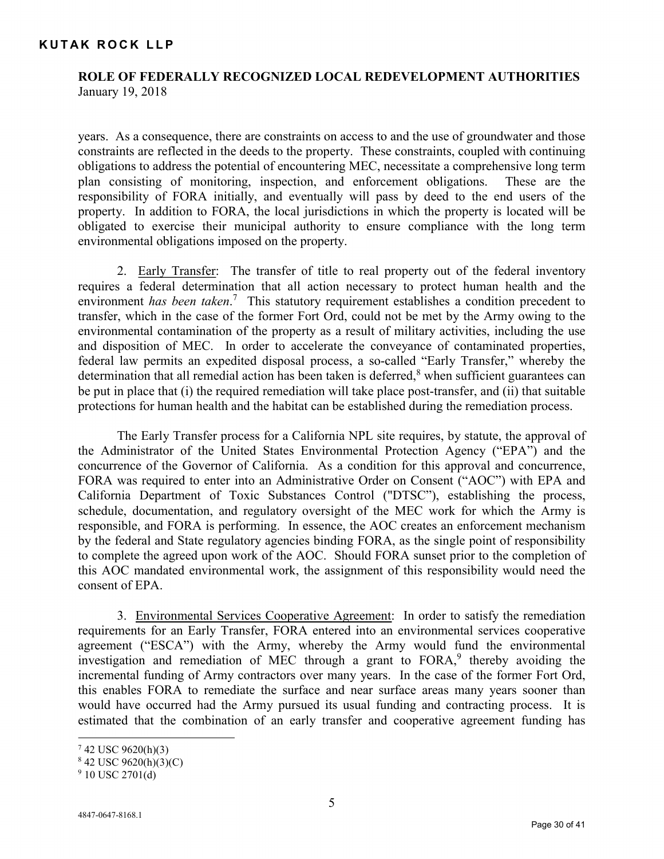# **ROLE OF FEDERALLY RECOGNIZED LOCAL REDEVELOPMENT AUTHORITIES** January 19, 2018

years. As a consequence, there are constraints on access to and the use of groundwater and those constraints are reflected in the deeds to the property. These constraints, coupled with continuing obligations to address the potential of encountering MEC, necessitate a comprehensive long term plan consisting of monitoring, inspection, and enforcement obligations. These are the responsibility of FORA initially, and eventually will pass by deed to the end users of the property. In addition to FORA, the local jurisdictions in which the property is located will be obligated to exercise their municipal authority to ensure compliance with the long term environmental obligations imposed on the property.

2. Early Transfer: The transfer of title to real property out of the federal inventory requires a federal determination that all action necessary to protect human health and the environment *has been taken*. <sup>7</sup> This statutory requirement establishes a condition precedent to transfer, which in the case of the former Fort Ord, could not be met by the Army owing to the environmental contamination of the property as a result of military activities, including the use and disposition of MEC. In order to accelerate the conveyance of contaminated properties, federal law permits an expedited disposal process, a so-called "Early Transfer," whereby the determination that all remedial action has been taken is deferred,<sup>8</sup> when sufficient guarantees can be put in place that (i) the required remediation will take place post-transfer, and (ii) that suitable protections for human health and the habitat can be established during the remediation process.

The Early Transfer process for a California NPL site requires, by statute, the approval of the Administrator of the United States Environmental Protection Agency ("EPA") and the concurrence of the Governor of California. As a condition for this approval and concurrence, FORA was required to enter into an Administrative Order on Consent ("AOC") with EPA and California Department of Toxic Substances Control ("DTSC"), establishing the process, schedule, documentation, and regulatory oversight of the MEC work for which the Army is responsible, and FORA is performing. In essence, the AOC creates an enforcement mechanism by the federal and State regulatory agencies binding FORA, as the single point of responsibility to complete the agreed upon work of the AOC. Should FORA sunset prior to the completion of this AOC mandated environmental work, the assignment of this responsibility would need the consent of EPA.

3. Environmental Services Cooperative Agreement: In order to satisfy the remediation requirements for an Early Transfer, FORA entered into an environmental services cooperative agreement ("ESCA") with the Army, whereby the Army would fund the environmental investigation and remediation of MEC through a grant to FORA,<sup>9</sup> thereby avoiding the incremental funding of Army contractors over many years. In the case of the former Fort Ord, this enables FORA to remediate the surface and near surface areas many years sooner than would have occurred had the Army pursued its usual funding and contracting process. It is estimated that the combination of an early transfer and cooperative agreement funding has

<u>.</u>

 $742$  USC 9620(h)(3)

<sup>8</sup> 42 USC 9620(h)(3)(C)

 $9$  10 USC 2701(d)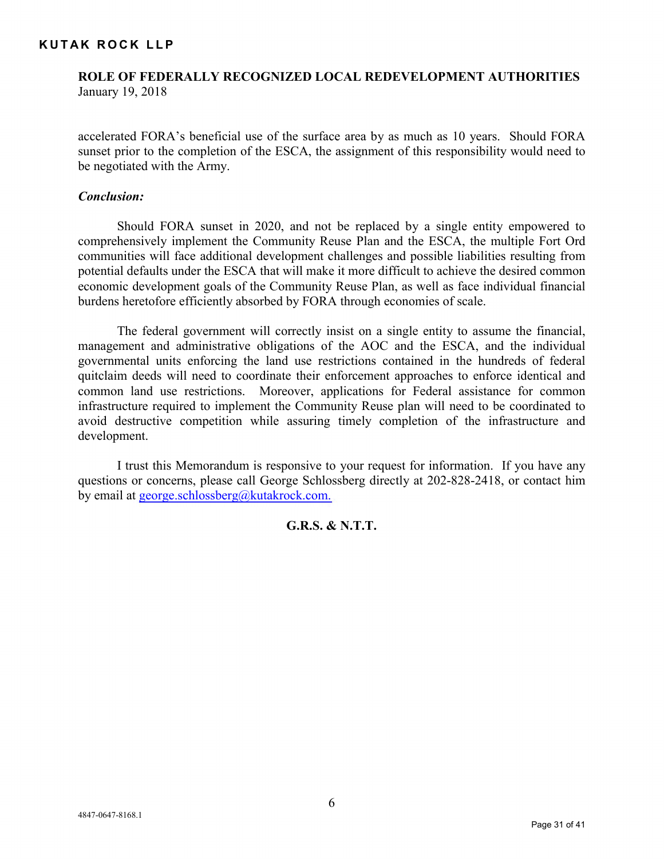# **ROLE OF FEDERALLY RECOGNIZED LOCAL REDEVELOPMENT AUTHORITIES** January 19, 2018

accelerated FORA's beneficial use of the surface area by as much as 10 years. Should FORA sunset prior to the completion of the ESCA, the assignment of this responsibility would need to be negotiated with the Army.

## *Conclusion:*

Should FORA sunset in 2020, and not be replaced by a single entity empowered to comprehensively implement the Community Reuse Plan and the ESCA, the multiple Fort Ord communities will face additional development challenges and possible liabilities resulting from potential defaults under the ESCA that will make it more difficult to achieve the desired common economic development goals of the Community Reuse Plan, as well as face individual financial burdens heretofore efficiently absorbed by FORA through economies of scale.

The federal government will correctly insist on a single entity to assume the financial, management and administrative obligations of the AOC and the ESCA, and the individual governmental units enforcing the land use restrictions contained in the hundreds of federal quitclaim deeds will need to coordinate their enforcement approaches to enforce identical and common land use restrictions. Moreover, applications for Federal assistance for common infrastructure required to implement the Community Reuse plan will need to be coordinated to avoid destructive competition while assuring timely completion of the infrastructure and development.

I trust this Memorandum is responsive to your request for information. If you have any questions or concerns, please call George Schlossberg directly at 202-828-2418, or contact him by email at [george.schlossberg@kutakrock.com.](mailto:george.schlossberg@kutakrock.com)

# **G.R.S. & N.T.T.**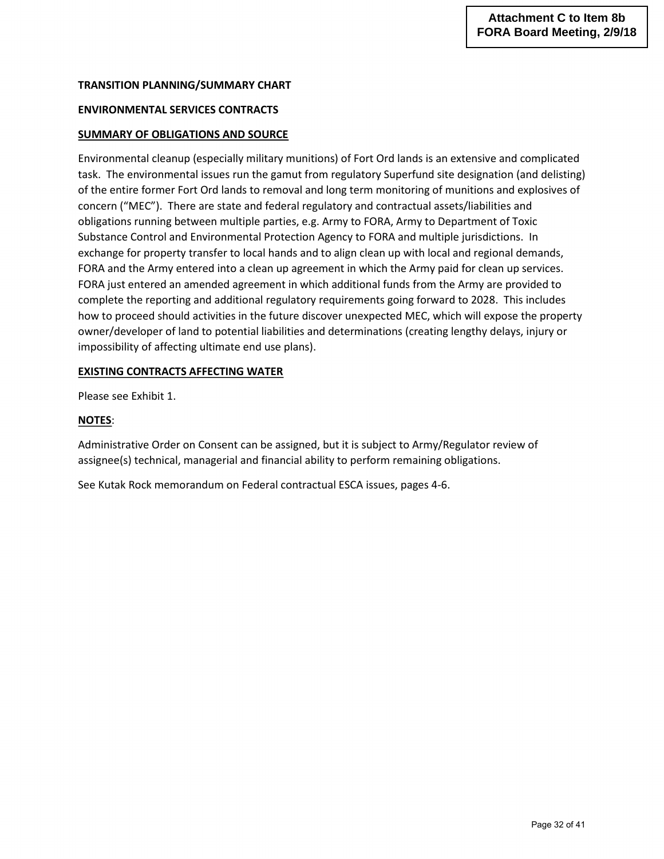## **TRANSITION PLANNING/SUMMARY CHART**

## **ENVIRONMENTAL SERVICES CONTRACTS**

## **SUMMARY OF OBLIGATIONS AND SOURCE**

Environmental cleanup (especially military munitions) of Fort Ord lands is an extensive and complicated task. The environmental issues run the gamut from regulatory Superfund site designation (and delisting) of the entire former Fort Ord lands to removal and long term monitoring of munitions and explosives of concern ("MEC"). There are state and federal regulatory and contractual assets/liabilities and obligations running between multiple parties, e.g. Army to FORA, Army to Department of Toxic Substance Control and Environmental Protection Agency to FORA and multiple jurisdictions. In exchange for property transfer to local hands and to align clean up with local and regional demands, FORA and the Army entered into a clean up agreement in which the Army paid for clean up services. FORA just entered an amended agreement in which additional funds from the Army are provided to complete the reporting and additional regulatory requirements going forward to 2028. This includes how to proceed should activities in the future discover unexpected MEC, which will expose the property owner/developer of land to potential liabilities and determinations (creating lengthy delays, injury or impossibility of affecting ultimate end use plans).

#### **EXISTING CONTRACTS AFFECTING WATER**

Please see Exhibit 1.

#### **NOTES**:

Administrative Order on Consent can be assigned, but it is subject to Army/Regulator review of assignee(s) technical, managerial and financial ability to perform remaining obligations.

See Kutak Rock memorandum on Federal contractual ESCA issues, pages 4-6.